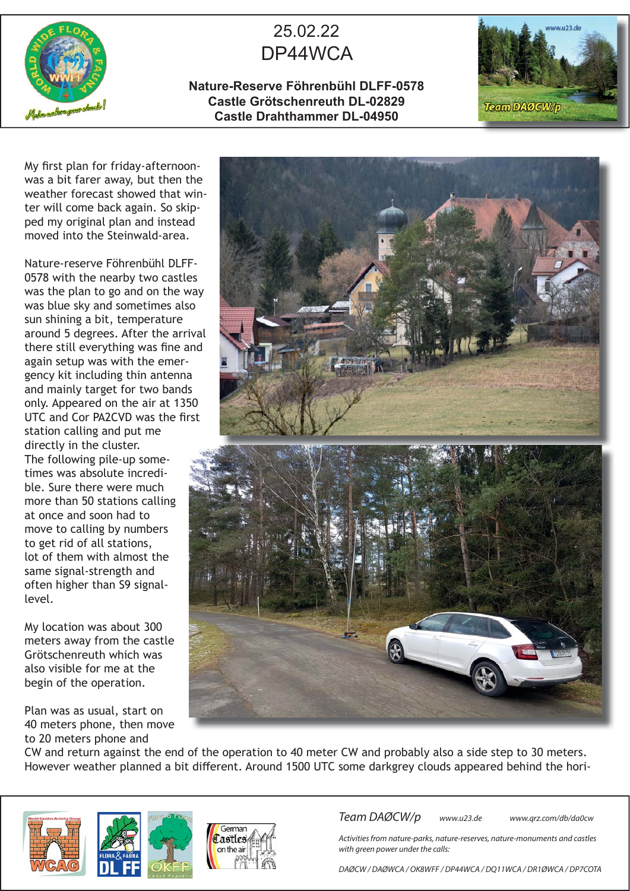

## 25.02.22 DP44WCA

**Nature-Reserve Föhrenbühl DLFF-0578 Castle Grötschenreuth DL-02829 Castle Drahthammer DL-04950**



My first plan for friday-afternoonwas a bit farer away, but then the weather forecast showed that winter will come back again. So skipped my original plan and instead moved into the Steinwald-area.

Nature-reserve Föhrenbühl DLFF-0578 with the nearby two castles was the plan to go and on the way was blue sky and sometimes also sun shining a bit, temperature around 5 degrees. After the arrival there still everything was fine and again setup was with the emergency kit including thin antenna and mainly target for two bands only. Appeared on the air at 1350 UTC and Cor PA2CVD was the first station calling and put me directly in the cluster. The following pile-up sometimes was absolute incredible. Sure there were much more than 50 stations calling at once and soon had to move to calling by numbers to get rid of all stations, lot of them with almost the same signal-strength and often higher than S9 signallevel.

My location was about 300 meters away from the castle Grötschenreuth which was also visible for me at the begin of the operation.

Plan was as usual, start on 40 meters phone, then move to 20 meters phone and



CW and return against the end of the operation to 40 meter CW and probably also a side step to 30 meters. However weather planned a bit different. Around 1500 UTC some darkgrey clouds appeared behind the hori-







Team DAØCW/p www.u23.de www.qrz.com/db/da0cw

Activities from nature-parks, nature-reserves, nature-monuments and castles with green power under the calls:

DAØCW / DAØWCA / OK8WFF / DP44WCA / DQ11WCA / DR1ØWCA / DP7COTA